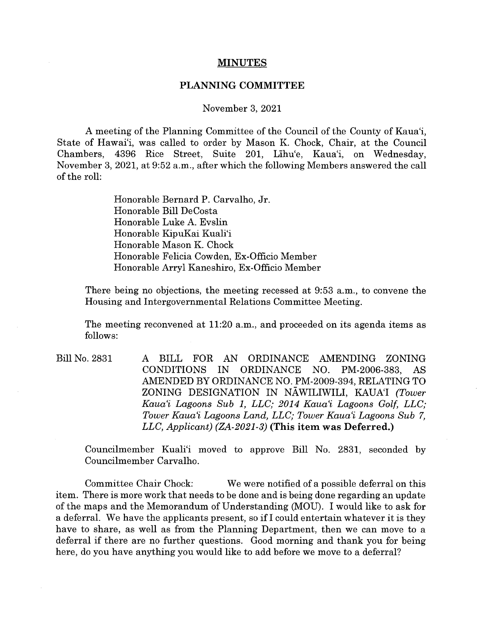## **MINUTES**

## **PLANNING COMMITTEE**

## November 3, 2021

A meeting of the Planning Committee of the Council of the County of Kaua'i, State of Hawai'i, was called to order by Mason K. Chock, Chair, at the Council Chambers, 4396 Rice Street, Suite 201, Lihu'e, Kaua'i, on Wednesday, November 3, 2021, at 9:52 a.m., after which the following Members answered the call of the roll:

> Honorable Bernard P. Carvalho, Jr. Honorable Bill DeCosta Honorable Luke A. Evslin Honorable KipuKai Kuali'i Honorable Mason K. Chock Honorable Felicia Cowden, Ex-Officio Member Honorable Arryl Kaneshiro, Ex-Officio Member

There being no objections, the meeting recessed at 9:53 a.m., to convene the Housing and Intergovernmental Relations Committee Meeting.

The meeting reconvened at 11:20 a.m., and proceeded on its agenda items as follows:

Bill No. 2831 A BILL FOR AN ORDINANCE AMENDING ZONING CONDITIONS IN ORDINANCE NO. PM-2006-383, AS AMENDED BY ORDINANCE NO. PM-2009-394, RELATING TO ZONING DESIGNATION IN N.AWILIWILI, KAUA'I *(Tower Kaua'i Lagoons Sub 1, LLC; 2014 Kaua'i Lagoons Golf, LLC; Tower Kaua'i Lagoons Land, LLC; Tower Kaua'i Lagoons Sub 7, LLC, Applicant) (ZA-2021-3)* **(This item was Deferred.)** 

Councilmember Kuali'i moved to approve Bill No. 2831, seconded by Councilmember Carvalho.

Committee Chair Chock: We were notified of a possible deferral on this item. There is more work that needs to be done and is being done regarding an update of the maps and the Memorandum of Understanding (MOU). I would like to ask for a deferral. We have the applicants present, so if I could entertain whatever it is they have to share, as well as from the Planning Department, then we can move to a deferral if there are no further questions. Good morning and thank you for being here, do you have anything you would like to add before we move to a deferral?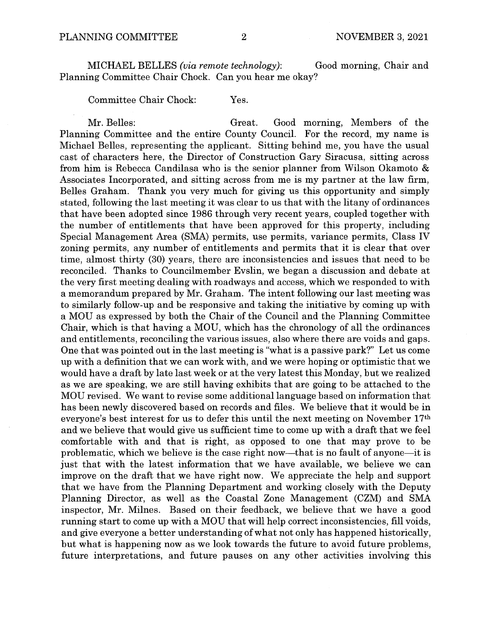MICHAEL BELLES *(via remote technology):* Good morning, Chair and Planning Committee Chair Chock. Can you hear me okay?

Committee Chair Chock: Yes.

Mr. Belles: Great. Good morning, Members of the Planning Committee and the entire County Council. For the record, my name is Michael Belles, representing the applicant. Sitting behind me, you have the usual cast of characters here, the Director of Construction Gary Siracusa, sitting across from him is Rebecca Candilasa who is the senior planner from Wilson Okamoto & Associates Incorporated, and sitting across from me is my partner at the law firm, Belles Graham. Thank you very much for giving us this opportunity and simply stated, following the last meeting it was clear to us that with the litany of ordinances that have been adopted since 1986 through very recent years, coupled together with the number of entitlements that have been approved for this property, including Special Management Area (SMA) permits, use permits, variance permits, Class IV zoning permits, any number of entitlements and permits that it is clear that over time, almost thirty (30) years, there are inconsistencies and issues that need to be reconciled. Thanks to Councilmember Evslin, we began a discussion and debate at the very first meeting dealing with roadways and access, which we responded to with a memorandum prepared by Mr. Graham. The intent following our last meeting was to similarly follow-up and be responsive and taking the initiative by coming up with a MOU as expressed by both the Chair of the Council and the Planning Committee Chair, which is that having a MOU, which has the chronology of all the ordinances and entitlements, reconciling the various issues, also where there are voids and gaps. One that was pointed out in the last meeting is "what is a passive park?" Let us come up with a definition that we can work with, and we were hoping or optimistic that we would have a draft by late last week or at the very latest this Monday, but we realized as we are speaking, we are still having exhibits that are going to be attached to the MOU revised. We want to revise some additional language based on information that has been newly discovered based on records and files. We believe that it would be in everyone's best interest for us to defer this until the next meeting on November 17th and we believe that would give us sufficient time to come up with a draft that we feel comfortable with and that is right, as opposed to one that may prove to be problematic, which we believe is the case right now-that is no fault of anyone-it is just that with the latest information that we have available, we believe we can improve on the draft that we have right now. We appreciate the help and support that we have from the Planning Department and working closely with the Deputy Planning Director, as well as the Coastal Zone Management (CZM) and SMA inspector, Mr. Milnes. Based on their feedback, we believe that we have a good running start to come up with a MOU that will help correct inconsistencies, fill voids, and give everyone a better understanding of what not only has happened historically, but what is happening now as we look towards the future to avoid future problems, future interpretations, and future pauses on any other activities involving this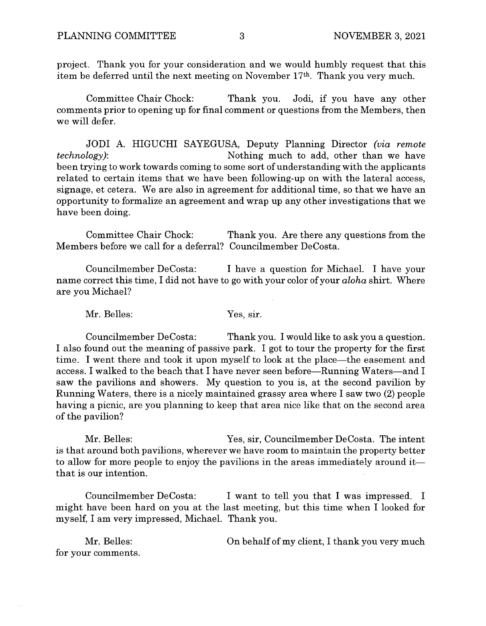project. Thank you for your consideration and we would humbly request that this item be deferred until the next meeting on November 17th. Thank you very much.

Committee Chair Chock: Thank you. Jodi, if you have any other comments prior to opening up for final comment or questions from the Members, then we will defer.

JODI A. HIGUCHI SAYEGUSA, Deputy Planning Director *(via remote*  Nothing much to add, other than we have been trying to work towards coming to some sort of understanding with the applicants related to certain items that we have been following-up on with the lateral access, signage, et cetera. We are also in agreement for additional time, so that we have an opportunity to formalize an agreement and wrap up any other investigations that we have been doing.

Committee Chair Chock: Thank you. Are there any questions from the Members before we call for a deferral? Councilmember DeCosta.

Councilmember DeCosta: I have a question for Michael. I have your name correct this time, I did not have to go with your color of your *aloha* shirt. Where are you Michael?

Mr. Belles: Yes, sir.

Councilmember DeCosta: Thank you. I would like to ask you a question. I also found out the meaning of passive park. I got to tour the property for the first time. I went there and took it upon myself to look at the place—the easement and access. I walked to the beach that I have never seen before—Running Waters—and I saw the pavilions and showers. My question to you is, at the second pavilion by Running Waters, there is a nicely maintained grassy area where I saw two (2) people having a picnic, are you planning to keep that area nice like that on the second area of the pavilion?

Mr. Belles: Yes, sir, Councilmember DeCosta. The intent is that around both pavilions, wherever we have room to maintain the property better to allow for more people to enjoy the pavilions in the areas immediately around itthat is our intention.

Councilmember DeCosta: I want to tell you that I was impressed. I might have been hard on you at the last meeting, but this time when I looked for myself, I am very impressed, Michael. Thank you.

Mr. Belles: for your comments. On behalf of my client, I thank you very much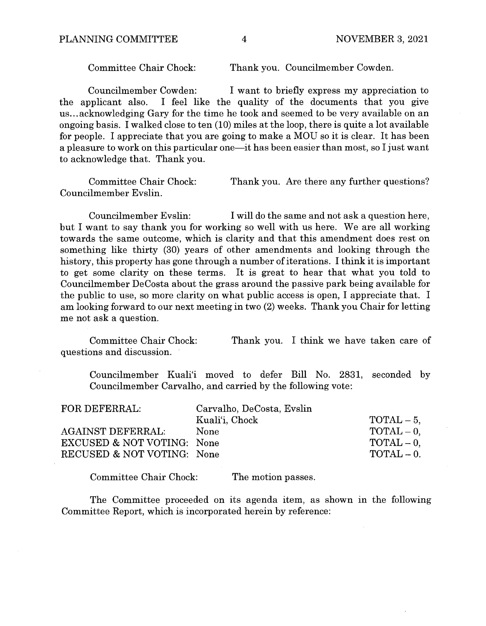Committee Chair Chock: Thank you. Councilmember Cowden.

Councilmember Cowden: I want to briefly express my appreciation to<br>the applicant also. I feel like the quality of the documents that you give I feel like the quality of the documents that you give us ... acknowledging Gary for the time he took and seemed to be very available on an ongoing basis. I walked close to ten (10) miles at the loop, there is quite a lot available for people. I appreciate that you are going to make a MOU so it is clear. It has been a pleasure to work on this particular one—it has been easier than most, so I just want to acknowledge that. Thank you.

Committee Chair Chock: Thank you. Are there any further questions? Councilmember Evslin.

Councilmember Evslin: I will do the same and not ask a question here, but I want to say thank you for working so well with us here. We are all working towards the same outcome, which is clarity and that this amendment does rest on something like thirty (30) years of other amendments and looking through the history, this property has gone through a number of iterations. I think it is important to get some clarity on these terms. It is great to hear that what you told to Councilmember DeCosta about the grass around the passive park being available for the public to use, so more clarity on what public access is open, I appreciate that. I am looking forward to our next meeting in two (2) weeks. Thank you Chair for letting me not ask a question.

Committee Chair Chock: questions and discussion. Thank you. I think we have taken care of

Councilmember Kuali'i moved to defer Bill No. 2831, seconded by Councilmember Carvalho, and carried by the following vote:

| FOR DEFERRAL:                         | Carvalho, DeCosta, Evslin |                      |
|---------------------------------------|---------------------------|----------------------|
|                                       | Kuali'i, Chock            | $\text{TOTAL} - 5$ , |
| <b>AGAINST DEFERRAL:</b>              | None                      | $\text{TOTAL} - 0.$  |
| <b>EXCUSED &amp; NOT VOTING: None</b> |                           | $\text{TOTAL} - 0.$  |
| RECUSED & NOT VOTING: None            |                           | $\text{normal} = 0.$ |

Committee Chair Chock: The motion passes.

The Committee proceeded on its agenda item, as shown in the following Committee Report, which is incorporated herein by reference: